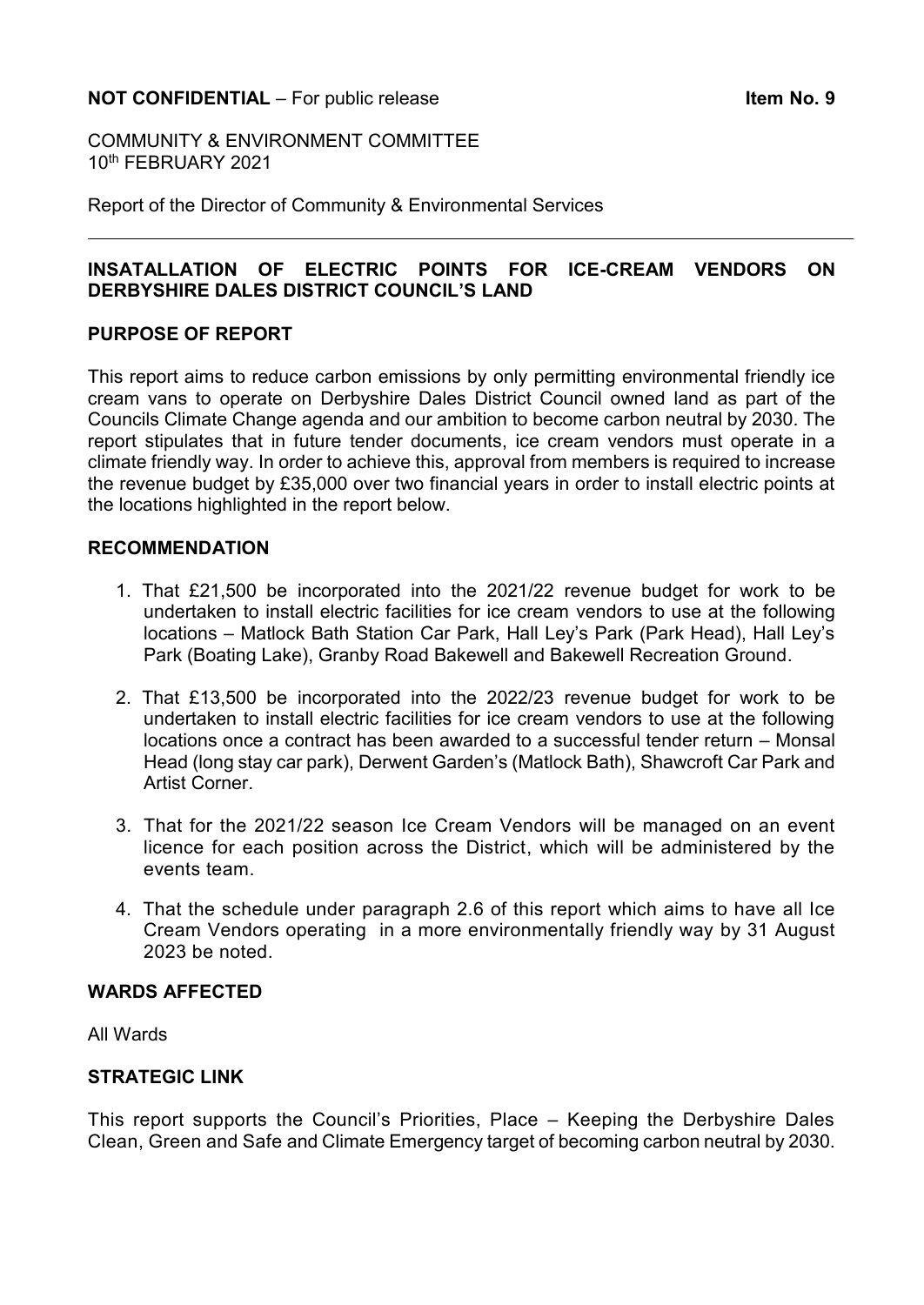### **NOT CONFIDENTIAL** – For public release **Internal CONFIDENTIAL** – For public release

COMMUNITY & ENVIRONMENT COMMITTEE 10th FEBRUARY 2021

Report of the Director of Community & Environmental Services

### **INSATALLATION OF ELECTRIC POINTS FOR ICE-CREAM VENDORS ON DERBYSHIRE DALES DISTRICT COUNCIL'S LAND**

#### **PURPOSE OF REPORT**

This report aims to reduce carbon emissions by only permitting environmental friendly ice cream vans to operate on Derbyshire Dales District Council owned land as part of the Councils Climate Change agenda and our ambition to become carbon neutral by 2030. The report stipulates that in future tender documents, ice cream vendors must operate in a climate friendly way. In order to achieve this, approval from members is required to increase the revenue budget by £35,000 over two financial years in order to install electric points at the locations highlighted in the report below.

#### **RECOMMENDATION**

- 1. That £21,500 be incorporated into the 2021/22 revenue budget for work to be undertaken to install electric facilities for ice cream vendors to use at the following locations – Matlock Bath Station Car Park, Hall Ley's Park (Park Head), Hall Ley's Park (Boating Lake), Granby Road Bakewell and Bakewell Recreation Ground.
- 2. That £13,500 be incorporated into the 2022/23 revenue budget for work to be undertaken to install electric facilities for ice cream vendors to use at the following locations once a contract has been awarded to a successful tender return – Monsal Head (long stay car park), Derwent Garden's (Matlock Bath), Shawcroft Car Park and Artist Corner.
- 3. That for the 2021/22 season Ice Cream Vendors will be managed on an event licence for each position across the District, which will be administered by the events team.
- 4. That the schedule under paragraph 2.6 of this report which aims to have all Ice Cream Vendors operating in a more environmentally friendly way by 31 August 2023 be noted.

### **WARDS AFFECTED**

All Wards

### **STRATEGIC LINK**

This report supports the Council's Priorities, Place – Keeping the Derbyshire Dales Clean, Green and Safe and Climate Emergency target of becoming carbon neutral by 2030.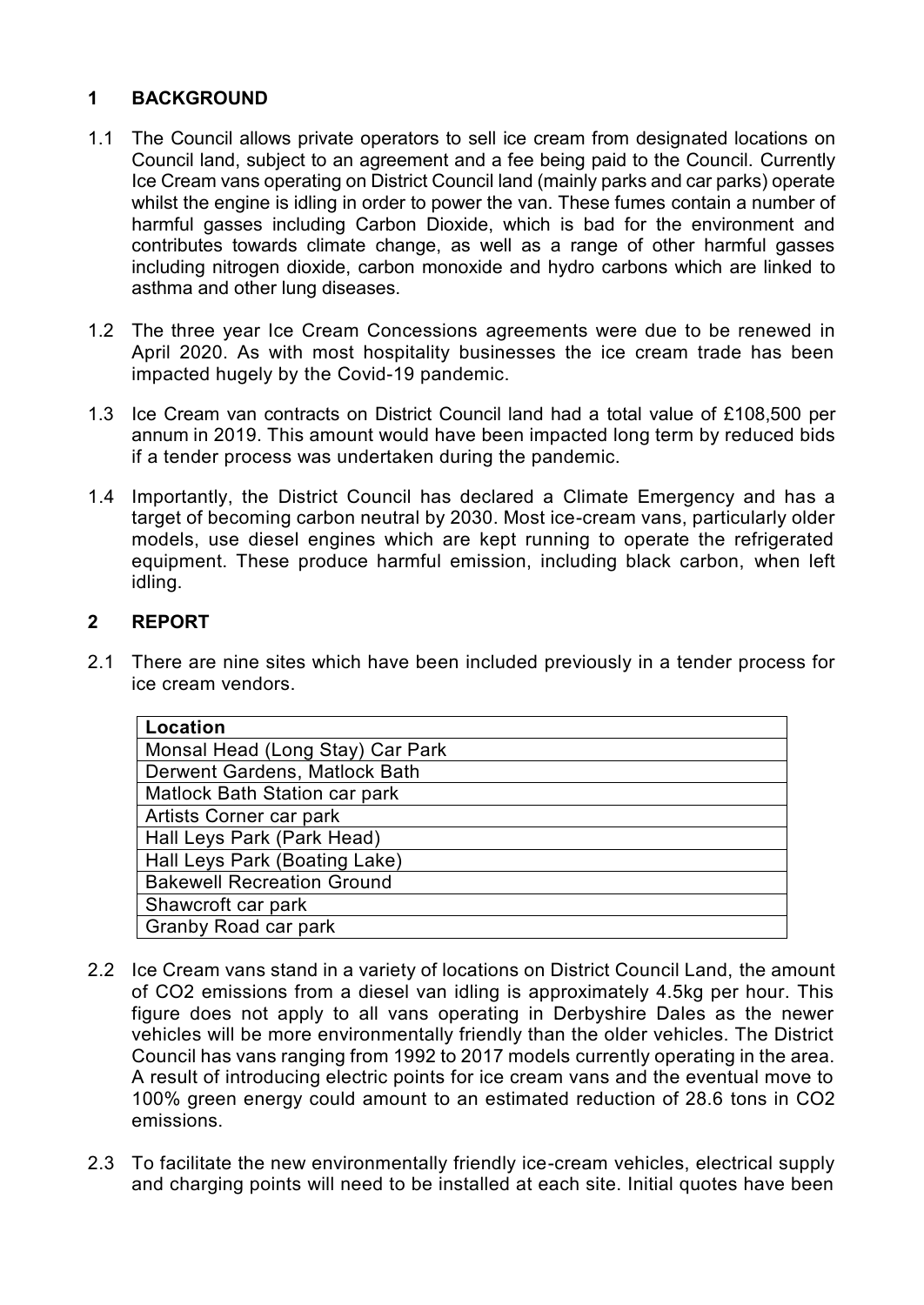# **1 BACKGROUND**

- 1.1 The Council allows private operators to sell ice cream from designated locations on Council land, subject to an agreement and a fee being paid to the Council. Currently Ice Cream vans operating on District Council land (mainly parks and car parks) operate whilst the engine is idling in order to power the van. These fumes contain a number of harmful gasses including Carbon Dioxide, which is bad for the environment and contributes towards climate change, as well as a range of other harmful gasses including nitrogen dioxide, carbon monoxide and hydro carbons which are linked to asthma and other lung diseases.
- 1.2 The three year Ice Cream Concessions agreements were due to be renewed in April 2020. As with most hospitality businesses the ice cream trade has been impacted hugely by the Covid-19 pandemic.
- 1.3 Ice Cream van contracts on District Council land had a total value of £108,500 per annum in 2019. This amount would have been impacted long term by reduced bids if a tender process was undertaken during the pandemic.
- 1.4 Importantly, the District Council has declared a Climate Emergency and has a target of becoming carbon neutral by 2030. Most ice-cream vans, particularly older models, use diesel engines which are kept running to operate the refrigerated equipment. These produce harmful emission, including black carbon, when left idling.

### **2 REPORT**

2.1 There are nine sites which have been included previously in a tender process for ice cream vendors.

| Location                          |
|-----------------------------------|
| Monsal Head (Long Stay) Car Park  |
| Derwent Gardens, Matlock Bath     |
| Matlock Bath Station car park     |
| Artists Corner car park           |
| Hall Leys Park (Park Head)        |
| Hall Leys Park (Boating Lake)     |
| <b>Bakewell Recreation Ground</b> |
| Shawcroft car park                |
| <b>Granby Road car park</b>       |

- 2.2 Ice Cream vans stand in a variety of locations on District Council Land, the amount of CO2 emissions from a diesel van idling is approximately 4.5kg per hour. This figure does not apply to all vans operating in Derbyshire Dales as the newer vehicles will be more environmentally friendly than the older vehicles. The District Council has vans ranging from 1992 to 2017 models currently operating in the area. A result of introducing electric points for ice cream vans and the eventual move to 100% green energy could amount to an estimated reduction of 28.6 tons in CO2 emissions.
- 2.3 To facilitate the new environmentally friendly ice-cream vehicles, electrical supply and charging points will need to be installed at each site. Initial quotes have been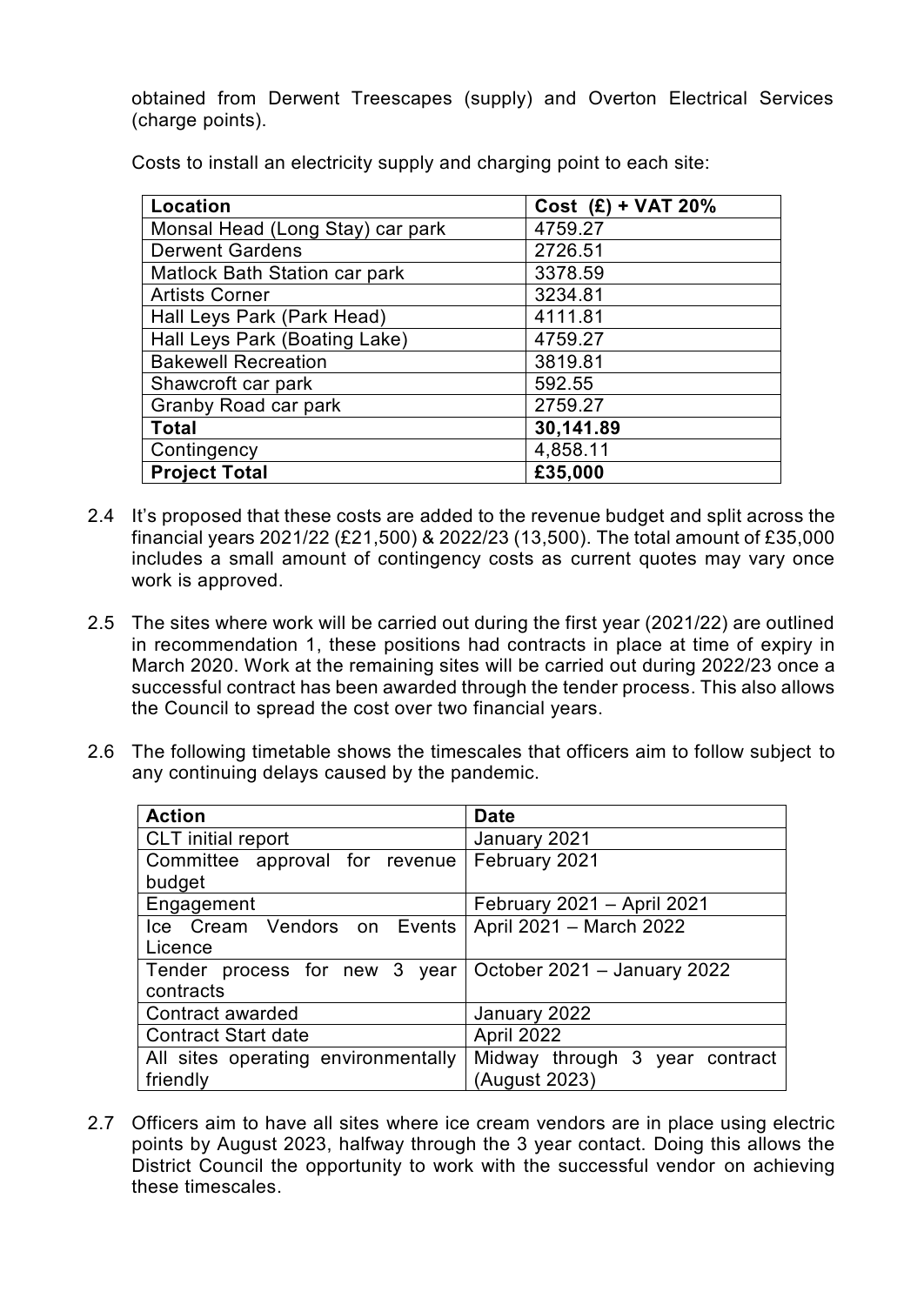obtained from Derwent Treescapes (supply) and Overton Electrical Services (charge points).

| Location                         | Cost $(E)$ + VAT 20% |
|----------------------------------|----------------------|
| Monsal Head (Long Stay) car park | 4759.27              |
| <b>Derwent Gardens</b>           | 2726.51              |
| Matlock Bath Station car park    | 3378.59              |
| <b>Artists Corner</b>            | 3234.81              |
| Hall Leys Park (Park Head)       | 4111.81              |
| Hall Leys Park (Boating Lake)    | 4759.27              |
| <b>Bakewell Recreation</b>       | 3819.81              |
| Shawcroft car park               | 592.55               |
| <b>Granby Road car park</b>      | 2759.27              |
| <b>Total</b>                     | 30,141.89            |
| Contingency                      | 4,858.11             |
| <b>Project Total</b>             | £35,000              |

Costs to install an electricity supply and charging point to each site:

- 2.4 It's proposed that these costs are added to the revenue budget and split across the financial years 2021/22 (£21,500) & 2022/23 (13,500). The total amount of £35,000 includes a small amount of contingency costs as current quotes may vary once work is approved.
- 2.5 The sites where work will be carried out during the first year (2021/22) are outlined in recommendation 1, these positions had contracts in place at time of expiry in March 2020. Work at the remaining sites will be carried out during 2022/23 once a successful contract has been awarded through the tender process. This also allows the Council to spread the cost over two financial years.
- 2.6 The following timetable shows the timescales that officers aim to follow subject to any continuing delays caused by the pandemic.

| <b>Action</b>                                               | <b>Date</b>                    |
|-------------------------------------------------------------|--------------------------------|
| <b>CLT</b> initial report                                   | January 2021                   |
| Committee approval for revenue                              | February 2021                  |
| budget                                                      |                                |
| Engagement                                                  | February 2021 - April 2021     |
| Ice Cream Vendors on Events   April 2021 - March 2022       |                                |
| Licence                                                     |                                |
| Tender process for new 3 year   October 2021 – January 2022 |                                |
| contracts                                                   |                                |
| Contract awarded                                            | January 2022                   |
| <b>Contract Start date</b>                                  | April 2022                     |
| All sites operating environmentally                         | Midway through 3 year contract |
| friendly                                                    | (August 2023)                  |

2.7 Officers aim to have all sites where ice cream vendors are in place using electric points by August 2023, halfway through the 3 year contact. Doing this allows the District Council the opportunity to work with the successful vendor on achieving these timescales.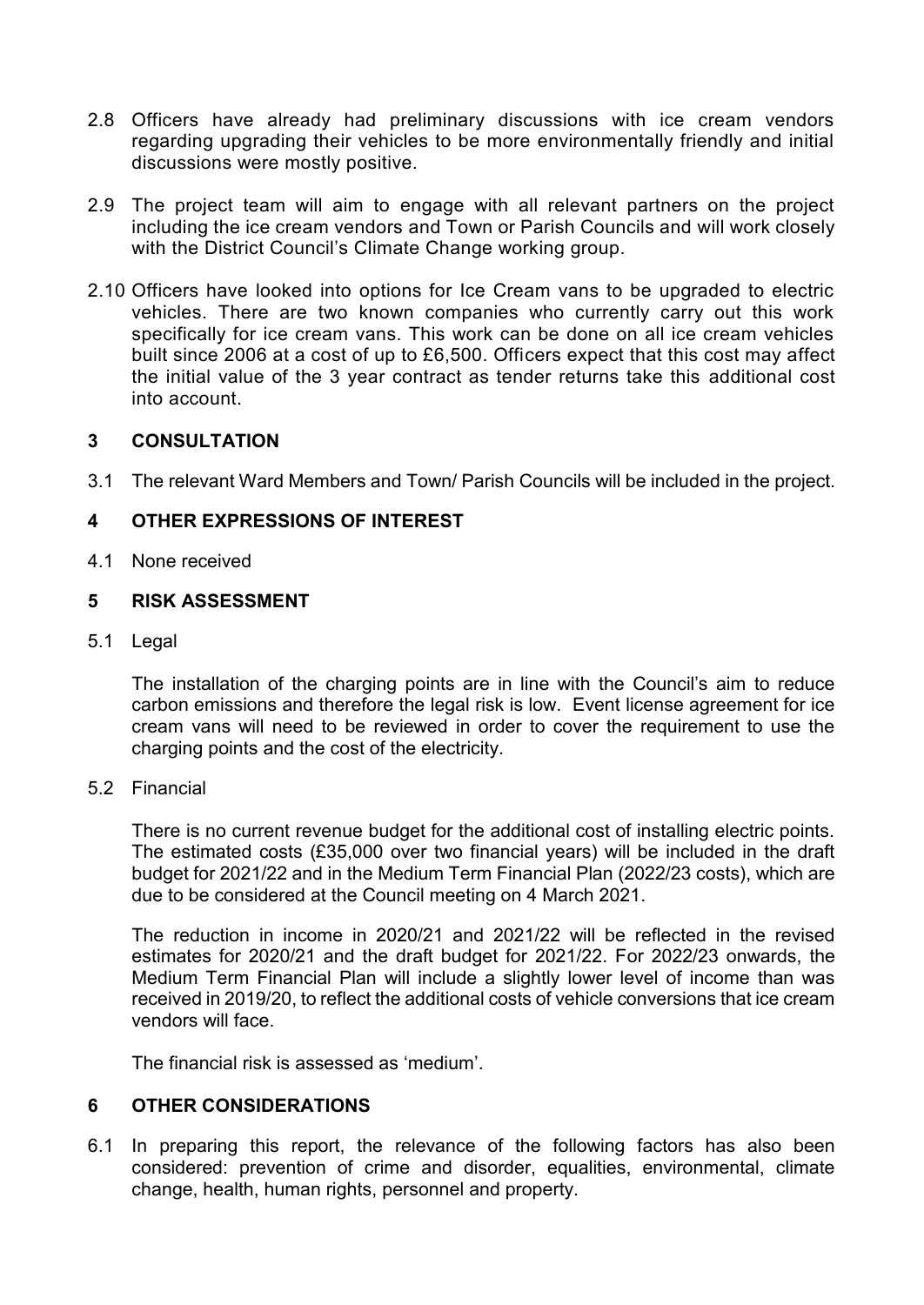- 2.8 Officers have already had preliminary discussions with ice cream vendors regarding upgrading their vehicles to be more environmentally friendly and initial discussions were mostly positive.
- 2.9 The project team will aim to engage with all relevant partners on the project including the ice cream vendors and Town or Parish Councils and will work closely with the District Council's Climate Change working group.
- 2.10 Officers have looked into options for Ice Cream vans to be upgraded to electric vehicles. There are two known companies who currently carry out this work specifically for ice cream vans. This work can be done on all ice cream vehicles built since 2006 at a cost of up to £6,500. Officers expect that this cost may affect the initial value of the 3 year contract as tender returns take this additional cost into account.

### **3 CONSULTATION**

3.1 The relevant Ward Members and Town/ Parish Councils will be included in the project.

### **4 OTHER EXPRESSIONS OF INTEREST**

4.1 None received

### **5 RISK ASSESSMENT**

5.1 Legal

The installation of the charging points are in line with the Council's aim to reduce carbon emissions and therefore the legal risk is low. Event license agreement for ice cream vans will need to be reviewed in order to cover the requirement to use the charging points and the cost of the electricity.

5.2 Financial

There is no current revenue budget for the additional cost of installing electric points. The estimated costs (£35,000 over two financial years) will be included in the draft budget for 2021/22 and in the Medium Term Financial Plan (2022/23 costs), which are due to be considered at the Council meeting on 4 March 2021.

The reduction in income in 2020/21 and 2021/22 will be reflected in the revised estimates for 2020/21 and the draft budget for 2021/22. For 2022/23 onwards, the Medium Term Financial Plan will include a slightly lower level of income than was received in 2019/20, to reflect the additional costs of vehicle conversions that ice cream vendors will face.

The financial risk is assessed as 'medium'.

### **6 OTHER CONSIDERATIONS**

6.1 In preparing this report, the relevance of the following factors has also been considered: prevention of crime and disorder, equalities, environmental, climate change, health, human rights, personnel and property.